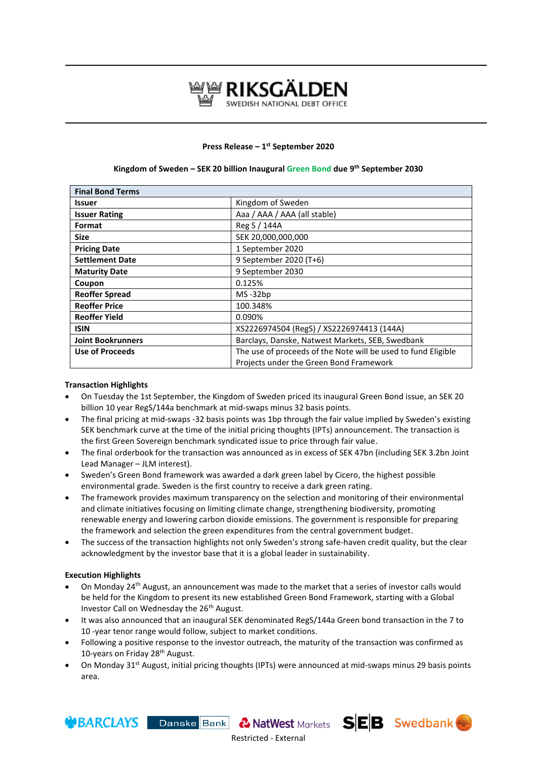

# **Press Release – 1 st September 2020**

| <b>Final Bond Terms</b>  |                                                               |
|--------------------------|---------------------------------------------------------------|
| <b>Issuer</b>            | Kingdom of Sweden                                             |
| <b>Issuer Rating</b>     | Aaa / AAA / AAA (all stable)                                  |
| Format                   | Reg S / 144A                                                  |
| <b>Size</b>              | SEK 20,000,000,000                                            |
| <b>Pricing Date</b>      | 1 September 2020                                              |
| <b>Settlement Date</b>   | 9 September 2020 (T+6)                                        |
| <b>Maturity Date</b>     | 9 September 2030                                              |
| Coupon                   | 0.125%                                                        |
| <b>Reoffer Spread</b>    | $MS - 32bp$                                                   |
| <b>Reoffer Price</b>     | 100.348%                                                      |
| <b>Reoffer Yield</b>     | 0.090%                                                        |
| <b>ISIN</b>              | XS2226974504 (RegS) / XS2226974413 (144A)                     |
| <b>Joint Bookrunners</b> | Barclays, Danske, Natwest Markets, SEB, Swedbank              |
| Use of Proceeds          | The use of proceeds of the Note will be used to fund Eligible |
|                          | Projects under the Green Bond Framework                       |

## **Kingdom of Sweden – SEK 20 billion Inaugural Green Bond due 9th September 2030**

#### **Transaction Highlights**

- On Tuesday the 1st September, the Kingdom of Sweden priced its inaugural Green Bond issue, an SEK 20 billion 10 year RegS/144a benchmark at mid-swaps minus 32 basis points.
- The final pricing at mid-swaps -32 basis points was 1bp through the fair value implied by Sweden's existing SEK benchmark curve at the time of the initial pricing thoughts (IPTs) announcement. The transaction is the first Green Sovereign benchmark syndicated issue to price through fair value.
- The final orderbook for the transaction was announced as in excess of SEK 47bn (including SEK 3.2bn Joint Lead Manager – JLM interest).
- Sweden's Green Bond framework was awarded a dark green label by Cicero, the highest possible environmental grade. Sweden is the first country to receive a dark green rating.
- The framework provides maximum transparency on the selection and monitoring of their environmental and climate initiatives focusing on limiting climate change, strengthening biodiversity, promoting renewable energy and lowering carbon dioxide emissions. The government is responsible for preparing the framework and selection the green expenditures from the central government budget.
- The success of the transaction highlights not only Sweden's strong safe-haven credit quality, but the clear acknowledgment by the investor base that it is a global leader in sustainability.

#### **Execution Highlights**

**WBARCLAYS** 

- On Monday 24<sup>th</sup> August, an announcement was made to the market that a series of investor calls would be held for the Kingdom to present its new established Green Bond Framework, starting with a Global Investor Call on Wednesday the 26<sup>th</sup> August.
- It was also announced that an inaugural SEK denominated RegS/144a Green bond transaction in the 7 to 10 -year tenor range would follow, subject to market conditions.
- Following a positive response to the investor outreach, the maturity of the transaction was confirmed as 10-years on Friday 28<sup>th</sup> August.
- On Monday 31<sup>st</sup> August, initial pricing thoughts (IPTs) were announced at mid-swaps minus 29 basis points area.

Restricted - External

Danske Bank & NatWest Markets SEB Swedbank